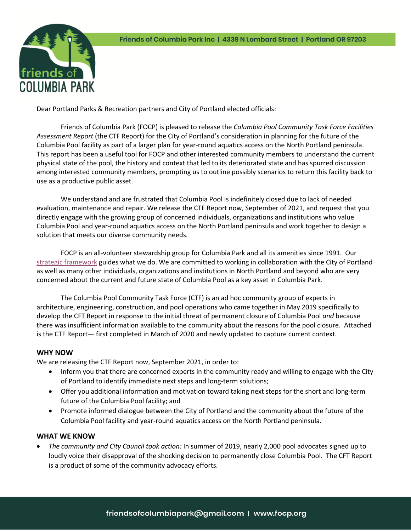

Dear Portland Parks & Recreation partners and City of Portland elected officials:

Friends of Columbia Park (FOCP) is pleased to release the *Columbia Pool Community Task Force Facilities Assessment Report* (the CTF Report) for the City of Portland's consideration in planning for the future of the Columbia Pool facility as part of a larger plan for year-round aquatics access on the North Portland peninsula. This report has been a useful tool for FOCP and other interested community members to understand the current physical state of the pool, the history and context that led to its deteriorated state and has spurred discussion among interested community members, prompting us to outline possibly scenarios to return this facility back to use as a productive public asset.

We understand and are frustrated that Columbia Pool is indefinitely closed due to lack of needed evaluation, maintenance and repair. We release the CTF Report now, September of 2021, and request that you directly engage with the growing group of concerned individuals, organizations and institutions who value Columbia Pool and year-round aquatics access on the North Portland peninsula and work together to design a solution that meets our diverse community needs.

FOCP is an all-volunteer stewardship group for Columbia Park and all its amenities since 1991. Our strategic framework guides what we do. We are committed to working in collaboration with the City of Portland as well as many other individuals, organizations and institutions in North Portland and beyond who are very concerned about the current and future state of Columbia Pool as a key asset in Columbia Park.

The Columbia Pool Community Task Force (CTF) is an ad hoc community group of experts in architecture, engineering, construction, and pool operations who came together in May 2019 specifically to develop the CFT Report in response to the initial threat of permanent closure of Columbia Pool *and* because there was insufficient information available to the community about the reasons for the pool closure. Attached is the CTF Report— first completed in March of 2020 and newly updated to capture current context.

## **WHY NOW**

We are releasing the CTF Report now, September 2021, in order to:

- Inform you that there are concerned experts in the community ready and willing to engage with the City of Portland to identify immediate next steps and long-term solutions;
- Offer you additional information and motivation toward taking next steps for the short and long-term future of the Columbia Pool facility; and
- Promote informed dialogue between the City of Portland and the community about the future of the Columbia Pool facility and year-round aquatics access on the North Portland peninsula.

## **WHAT WE KNOW**

• *The community and City Council took action:* In summer of 2019, nearly 2,000 pool advocates signed up to loudly voice their disapproval of the shocking decision to permanently close Columbia Pool. The CFT Report is a product of some of the community advocacy efforts.